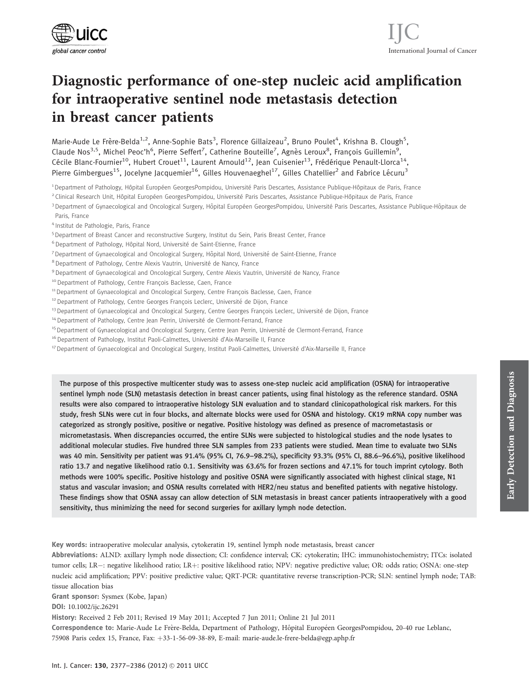

# Diagnostic performance of one-step nucleic acid amplification for intraoperative sentinel node metastasis detection in breast cancer patients

Marie-Aude Le Frère-Belda<sup>1,2</sup>, Anne-Sophie Bats<sup>3</sup>, Florence Gillaizeau<sup>2</sup>, Bruno Poulet<sup>4</sup>, Krishna B. Clough<sup>5</sup>, Claude Nos<sup>3,5</sup>, Michel Peoc'h<sup>6</sup>, Pierre Seffert<sup>7</sup>, Catherine Bouteille<sup>7</sup>, Agnès Leroux<sup>8</sup>, François Guillemin<sup>9</sup>, Cécile Blanc-Fournier<sup>10</sup>, Hubert Crouet<sup>11</sup>, Laurent Arnould<sup>12</sup>, Jean Cuisenier<sup>13</sup>, Frédérique Penault-Llorca<sup>14</sup>, Pierre Gimbergues<sup>15</sup>, Jocelyne Jacquemier<sup>16</sup>, Gilles Houvenaeghel<sup>17</sup>, Gilles Chatellier<sup>2</sup> and Fabrice Lécuru<sup>3</sup>

<sup>1</sup> Department of Pathology, Hôpital Européen GeorgesPompidou, Université Paris Descartes, Assistance Publique-Hôpitaux de Paris, France

<sup>2</sup> Clinical Research Unit, Hôpital Européen GeorgesPompidou, Université Paris Descartes, Assistance Publique-Hôpitaux de Paris, France

- 3 Department of Gynaecological and Oncological Surgery, Hôpital Européen GeorgesPompidou, Université Paris Descartes, Assistance Publique-Hôpitaux de Paris, France
- <sup>4</sup> Institut de Pathologie, Paris, France
- <sup>5</sup> Department of Breast Cancer and reconstructive Surgery, Institut du Sein, Paris Breast Center, France
- <sup>6</sup> Department of Pathology, Hôpital Nord, Université de Saint-Etienne, France
- <sup>7</sup> Department of Gynaecological and Oncological Surgery, Hôpital Nord, Université de Saint-Etienne, France
- <sup>8</sup> Department of Pathology, Centre Alexis Vautrin, Université de Nancy, France
- 9 Department of Gynaecological and Oncological Surgery, Centre Alexis Vautrin, Université de Nancy, France
- <sup>10</sup> Department of Pathology, Centre François Baclesse, Caen, France
- <sup>11</sup> Department of Gynaecological and Oncological Surgery, Centre François Baclesse, Caen, France
- <sup>12</sup> Department of Pathology, Centre Georges François Leclerc, Université de Dijon, France
- <sup>13</sup> Department of Gynaecological and Oncological Surgery, Centre Georges François Leclerc, Université de Dijon, France
- <sup>14</sup> Department of Pathology, Centre Jean Perrin, Université de Clermont-Ferrand, France
- <sup>15</sup> Department of Gynaecological and Oncological Surgery, Centre Jean Perrin, Université de Clermont-Ferrand, France
- <sup>16</sup> Department of Pathology, Institut Paoli-Calmettes, Université d'Aix-Marseille II, France
- <sup>17</sup> Department of Gynaecological and Oncological Surgery, Institut Paoli-Calmettes, Université d'Aix-Marseille II, France

The purpose of this prospective multicenter study was to assess one-step nucleic acid amplification (OSNA) for intraoperative sentinel lymph node (SLN) metastasis detection in breast cancer patients, using final histology as the reference standard. OSNA results were also compared to intraoperative histology SLN evaluation and to standard clinicopathological risk markers. For this study, fresh SLNs were cut in four blocks, and alternate blocks were used for OSNA and histology. CK19 mRNA copy number was categorized as strongly positive, positive or negative. Positive histology was defined as presence of macrometastasis or micrometastasis. When discrepancies occurred, the entire SLNs were subjected to histological studies and the node lysates to additional molecular studies. Five hundred three SLN samples from 233 patients were studied. Mean time to evaluate two SLNs was 40 min. Sensitivity per patient was 91.4% (95% CI, 76.9–98.2%), specificity 93.3% (95% CI, 88.6–96.6%), positive likelihood ratio 13.7 and negative likelihood ratio 0.1. Sensitivity was 63.6% for frozen sections and 47.1% for touch imprint cytology. Both methods were 100% specific. Positive histology and positive OSNA were significantly associated with highest clinical stage, N1 status and vascular invasion; and OSNA results correlated with HER2/neu status and benefited patients with negative histology. These findings show that OSNA assay can allow detection of SLN metastasis in breast cancer patients intraoperatively with a good sensitivity, thus minimizing the need for second surgeries for axillary lymph node detection.

Key words: intraoperative molecular analysis, cytokeratin 19, sentinel lymph node metastasis, breast cancer

Abbreviations: ALND: axillary lymph node dissection; CI: confidence interval; CK: cytokeratin; IHC: immunohistochemistry; ITCs: isolated tumor cells; LR-: negative likelihood ratio; LR+: positive likelihood ratio; NPV: negative predictive value; OR: odds ratio; OSNA: one-step nucleic acid amplification; PPV: positive predictive value; QRT-PCR: quantitative reverse transcription-PCR; SLN: sentinel lymph node; TAB: tissue allocation bias

Grant sponsor: Sysmex (Kobe, Japan)

DOI: 10.1002/ijc.26291

History: Received 2 Feb 2011; Revised 19 May 2011; Accepted 7 Jun 2011; Online 21 Jul 2011

Correspondence to: Marie-Aude Le Frère-Belda, Department of Pathology, Hôpital Européen GeorgesPompidou, 20-40 rue Leblanc, 75908 Paris cedex 15, France, Fax: þ33-1-56-09-38-89, E-mail: marie-aude.le-frere-belda@egp.aphp.fr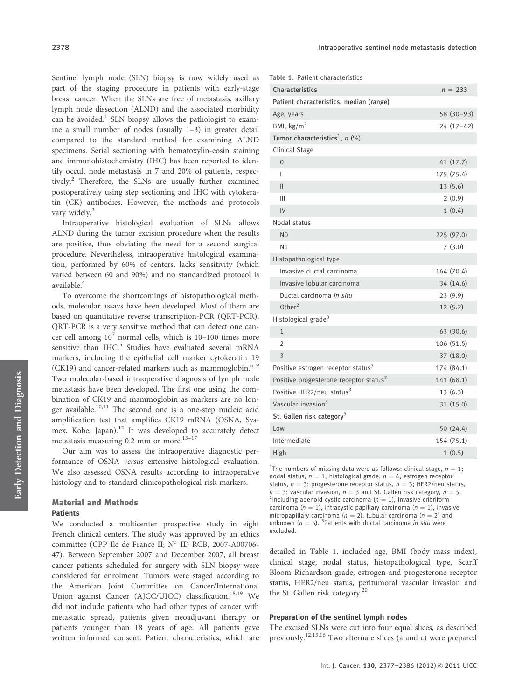Sentinel lymph node (SLN) biopsy is now widely used as part of the staging procedure in patients with early-stage breast cancer. When the SLNs are free of metastasis, axillary lymph node dissection (ALND) and the associated morbidity can be avoided.<sup>1</sup> SLN biopsy allows the pathologist to examine a small number of nodes (usually 1–3) in greater detail compared to the standard method for examining ALND specimens. Serial sectioning with hematoxylin-eosin staining and immunohistochemistry (IHC) has been reported to identify occult node metastasis in 7 and 20% of patients, respectively.<sup>2</sup> Therefore, the SLNs are usually further examined postoperatively using step sectioning and IHC with cytokeratin (CK) antibodies. However, the methods and protocols vary widely.<sup>3</sup>

Intraoperative histological evaluation of SLNs allows ALND during the tumor excision procedure when the results are positive, thus obviating the need for a second surgical procedure. Nevertheless, intraoperative histological examination, performed by 60% of centers, lacks sensitivity (which varied between 60 and 90%) and no standardized protocol is available.<sup>4</sup>

To overcome the shortcomings of histopathological methods, molecular assays have been developed. Most of them are based on quantitative reverse transcription-PCR (QRT-PCR). QRT-PCR is a very sensitive method that can detect one cancer cell among  $10^7$  normal cells, which is 10–100 times more sensitive than  $IHC<sup>5</sup>$  Studies have evaluated several mRNA markers, including the epithelial cell marker cytokeratin 19 (CK19) and cancer-related markers such as mammoglobin. $6-9$ Two molecular-based intraoperative diagnosis of lymph node metastasis have been developed. The first one using the combination of CK19 and mammoglobin as markers are no longer available.<sup>10,11</sup> The second one is a one-step nucleic acid amplification test that amplifies CK19 mRNA (OSNA, Sysmex, Kobe, Japan).<sup>12</sup> It was developed to accurately detect metastasis measuring  $0.2$  mm or more.<sup>13-17</sup>

Our aim was to assess the intraoperative diagnostic performance of OSNA versus extensive histological evaluation. We also assessed OSNA results according to intraoperative histology and to standard clinicopathological risk markers.

## Material and Methods **Patients**

We conducted a multicenter prospective study in eight French clinical centers. The study was approved by an ethics committee (CPP Ile de France II; N° ID RCB, 2007-A00706-47). Between September 2007 and December 2007, all breast cancer patients scheduled for surgery with SLN biopsy were considered for enrolment. Tumors were staged according to the American Joint Committee on Cancer/International Union against Cancer (AJCC/UICC) classification.<sup>18,19</sup> We did not include patients who had other types of cancer with metastatic spread, patients given neoadjuvant therapy or patients younger than 18 years of age. All patients gave written informed consent. Patient characteristics, which are

| Table 1. Patient characteristics |  |  |  |  |  |
|----------------------------------|--|--|--|--|--|
|----------------------------------|--|--|--|--|--|

| Characteristics                                    | $n = 233$   |
|----------------------------------------------------|-------------|
| Patient characteristics, median (range)            |             |
| Age, years                                         | 58 (30-93)  |
| BMI, $\text{kg/m}^2$                               | $24(17-42)$ |
| Tumor characteristics <sup>1</sup> , $n$ (%)       |             |
| Clinical Stage                                     |             |
| $\Omega$                                           | 41(17.7)    |
| I                                                  | 175 (75.4)  |
| $\mathsf{II}$                                      | 13(5.6)     |
| Ш                                                  | 2(0.9)      |
| IV                                                 | 1(0.4)      |
| Nodal status                                       |             |
| N <sub>0</sub>                                     | 225 (97.0)  |
| N <sub>1</sub>                                     | 7(3.0)      |
| Histopathological type                             |             |
| Invasive ductal carcinoma                          | 164 (70.4)  |
| Invasive lobular carcinoma                         | 34 (14.6)   |
| Ductal carcinoma in situ                           | 23(9.9)     |
| Other $^2$                                         | 12(5.2)     |
| Histological grade <sup>3</sup>                    |             |
| $\mathbf{1}$                                       | 63 (30.6)   |
| $\overline{2}$                                     | 106 (51.5)  |
| 3                                                  | 37 (18.0)   |
| Positive estrogen receptor status <sup>3</sup>     | 174 (84.1)  |
| Positive progesterone receptor status <sup>3</sup> | 141 (68.1)  |
| Positive HER2/neu status <sup>3</sup>              | 13(6.3)     |
| Vascular invasion <sup>3</sup>                     | 31 (15.0)   |
| St. Gallen risk category <sup>3</sup>              |             |
| Low                                                | 50 (24.4)   |
| Intermediate                                       | 154 (75.1)  |
| High                                               | 1(0.5)      |

<sup>1</sup>The numbers of missing data were as follows: clinical stage,  $n = 1$ ; nodal status,  $n = 1$ ; histological grade,  $n = 4$ ; estrogen receptor status,  $n = 3$ ; progesterone receptor status,  $n = 3$ ; HER2/neu status,  $n = 3$ ; vascular invasion,  $n = 3$  and St. Gallen risk category,  $n = 5$ . <sup>2</sup>Including adenoid cystic carcinoma ( $n = 1$ ), invasive cribriform carcinoma ( $n = 1$ ), intracystic papillary carcinoma ( $n = 1$ ), invasive micropapillary carcinoma ( $n = 2$ ), tubular carcinoma ( $n = 2$ ) and unknown ( $n = 5$ ). <sup>3</sup>Patients with ductal carcinoma *in situ* were excluded.

detailed in Table 1, included age, BMI (body mass index), clinical stage, nodal status, histopathological type, Scarff Bloom Richardson grade, estrogen and progesterone receptor status, HER2/neu status, peritumoral vascular invasion and the St. Gallen risk category. $^{20}$ 

### Preparation of the sentinel lymph nodes

The excised SLNs were cut into four equal slices, as described previously.12,15,16 Two alternate slices (a and c) were prepared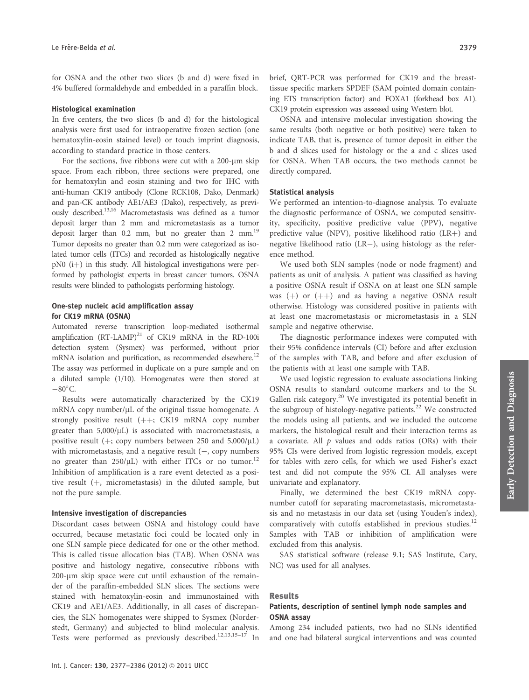for OSNA and the other two slices (b and d) were fixed in 4% buffered formaldehyde and embedded in a paraffin block.

#### Histological examination

In five centers, the two slices (b and d) for the histological analysis were first used for intraoperative frozen section (one hematoxylin-eosin stained level) or touch imprint diagnosis, according to standard practice in those centers.

For the sections, five ribbons were cut with a 200-um skip space. From each ribbon, three sections were prepared, one for hematoxylin and eosin staining and two for IHC with anti-human CK19 antibody (Clone RCK108, Dako, Denmark) and pan-CK antibody AE1/AE3 (Dako), respectively, as previously described.13,16 Macrometastasis was defined as a tumor deposit larger than 2 mm and micrometastasis as a tumor deposit larger than  $0.2$  mm, but no greater than  $2 \text{ mm}$ .<sup>19</sup> Tumor deposits no greater than 0.2 mm were categorized as isolated tumor cells (ITCs) and recorded as histologically negative  $pN0$  (i+) in this study. All histological investigations were performed by pathologist experts in breast cancer tumors. OSNA results were blinded to pathologists performing histology.

## One-step nucleic acid amplification assay for CK19 mRNA (OSNA)

Automated reverse transcription loop-mediated isothermal amplification  $(RT-LAMP)^{21}$  of CK19 mRNA in the RD-100i detection system (Sysmex) was performed, without prior mRNA isolation and purification, as recommended elsewhere.<sup>12</sup> The assay was performed in duplicate on a pure sample and on a diluted sample (1/10). Homogenates were then stored at  $-80^{\circ}$ C.

Results were automatically characterized by the CK19 mRNA copy number/µL of the original tissue homogenate. A strongly positive result  $(++)$ ; CK19 mRNA copy number greater than  $5,000/\mu L$ ) is associated with macrometastasis, a positive result ( $+$ ; copy numbers between 250 and 5,000/ $\mu$ L) with micrometastasis, and a negative result  $(-,$  copy numbers no greater than  $250/\mu L$ ) with either ITCs or no tumor.<sup>12</sup> Inhibition of amplification is a rare event detected as a positive result  $(+)$ , micrometastasis) in the diluted sample, but not the pure sample.

#### Intensive investigation of discrepancies

Discordant cases between OSNA and histology could have occurred, because metastatic foci could be located only in one SLN sample piece dedicated for one or the other method. This is called tissue allocation bias (TAB). When OSNA was positive and histology negative, consecutive ribbons with 200-um skip space were cut until exhaustion of the remainder of the paraffin-embedded SLN slices. The sections were stained with hematoxylin-eosin and immunostained with CK19 and AE1/AE3. Additionally, in all cases of discrepancies, the SLN homogenates were shipped to Sysmex (Norderstedt, Germany) and subjected to blind molecular analysis. Tests were performed as previously described.<sup>12,13,15-17</sup> In brief, QRT-PCR was performed for CK19 and the breasttissue specific markers SPDEF (SAM pointed domain containing ETS transcription factor) and FOXA1 (forkhead box A1). CK19 protein expression was assessed using Western blot.

OSNA and intensive molecular investigation showing the same results (both negative or both positive) were taken to indicate TAB, that is, presence of tumor deposit in either the b and d slices used for histology or the a and c slices used for OSNA. When TAB occurs, the two methods cannot be directly compared.

#### Statistical analysis

We performed an intention-to-diagnose analysis. To evaluate the diagnostic performance of OSNA, we computed sensitivity, specificity, positive predictive value (PPV), negative predictive value (NPV), positive likelihood ratio  $(LR+)$  and negative likelihood ratio  $(LR-)$ , using histology as the reference method.

We used both SLN samples (node or node fragment) and patients as unit of analysis. A patient was classified as having a positive OSNA result if OSNA on at least one SLN sample was  $(+)$  or  $(++)$  and as having a negative OSNA result otherwise. Histology was considered positive in patients with at least one macrometastasis or micrometastasis in a SLN sample and negative otherwise.

The diagnostic performance indexes were computed with their 95% confidence intervals (CI) before and after exclusion of the samples with TAB, and before and after exclusion of the patients with at least one sample with TAB.

We used logistic regression to evaluate associations linking OSNA results to standard outcome markers and to the St. Gallen risk category.<sup>20</sup> We investigated its potential benefit in the subgroup of histology-negative patients.<sup>22</sup> We constructed the models using all patients, and we included the outcome markers, the histological result and their interaction terms as a covariate. All  $p$  values and odds ratios (ORs) with their 95% CIs were derived from logistic regression models, except for tables with zero cells, for which we used Fisher's exact test and did not compute the 95% CI. All analyses were univariate and explanatory.

Finally, we determined the best CK19 mRNA copynumber cutoff for separating macrometastasis, micrometastasis and no metastasis in our data set (using Youden's index), comparatively with cutoffs established in previous studies. $12$ Samples with TAB or inhibition of amplification were excluded from this analysis.

SAS statistical software (release 9.1; SAS Institute, Cary, NC) was used for all analyses.

#### Results

## Patients, description of sentinel lymph node samples and OSNA assay

Among 234 included patients, two had no SLNs identified and one had bilateral surgical interventions and was counted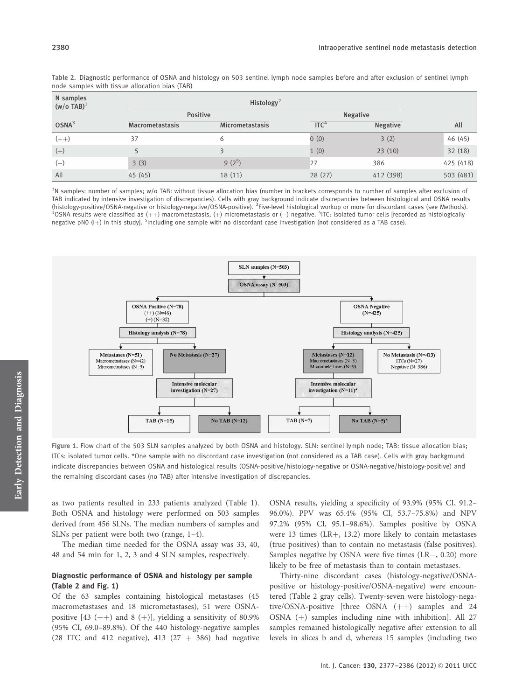| N samples<br>$(w/o$ TAB) <sup>1</sup> | Histology <sup>2</sup> |                        |                  |                 |           |  |  |  |  |  |
|---------------------------------------|------------------------|------------------------|------------------|-----------------|-----------|--|--|--|--|--|
|                                       |                        | <b>Positive</b>        |                  | <b>Negative</b> |           |  |  |  |  |  |
| $OSNA^3$                              | <b>Macrometastasis</b> | <b>Micrometastasis</b> | ITC <sup>4</sup> | <b>Negative</b> | All       |  |  |  |  |  |
| $(++)$                                | 37                     | 6                      | 0(0)             | 3(2)            | 46 (45)   |  |  |  |  |  |
| $(+)$                                 |                        | ς                      | 1(0)             | 23(10)          | 32(18)    |  |  |  |  |  |
| $(-)$                                 | 3(3)                   | $9(2^5)$               | 27               | 386             | 425 (418) |  |  |  |  |  |
| All                                   | 45(45)                 | 18 (11)                | 28(27)           | 412 (398)       | 503 (481) |  |  |  |  |  |

Table 2. Diagnostic performance of OSNA and histology on 503 sentinel lymph node samples before and after exclusion of sentinel lymph node samples with tissue allocation bias (TAB)

<sup>1</sup>N samples: number of samples; w/o TAB: without tissue allocation bias (number in brackets corresponds to number of samples after exclusion of TAB indicated by intensive investigation of discrepancies). Cells with gray background indicate discrepancies between histological and OSNA results (histology-positive/OSNA-negative or histology-negative/OSNA-positive). <sup>2</sup> Five-level histological workup or more for discordant cases (see Methods).<br><sup>3</sup> OSNA results were classified as (++) macromotastasis (+) micromota OSNA results were classified as (++) macrometastasis, (+) micrometastasis or (-) negative. <sup>4</sup>ITC: isolated tumor cells [recorded as histologically negative pN0  $(i+)$  in this study]. <sup>5</sup>Including one sample with no discordant case investigation (not considered as a TAB case).



Figure 1. Flow chart of the 503 SLN samples analyzed by both OSNA and histology. SLN: sentinel lymph node; TAB: tissue allocation bias; ITCs: isolated tumor cells. \*One sample with no discordant case investigation (not considered as a TAB case). Cells with gray background indicate discrepancies between OSNA and histological results (OSNA-positive/histology-negative or OSNA-negative/histology-positive) and the remaining discordant cases (no TAB) after intensive investigation of discrepancies.

as two patients resulted in 233 patients analyzed (Table 1). Both OSNA and histology were performed on 503 samples derived from 456 SLNs. The median numbers of samples and SLNs per patient were both two (range, 1–4).

The median time needed for the OSNA assay was 33, 40, 48 and 54 min for 1, 2, 3 and 4 SLN samples, respectively.

## Diagnostic performance of OSNA and histology per sample (Table 2 and Fig. 1)

Of the 63 samples containing histological metastases (45 macrometastases and 18 micrometastases), 51 were OSNApositive  $[43 (++)$  and  $8 (+)]$ , yielding a sensitivity of 80.9% (95% CI, 69.0–89.8%). Of the 440 histology-negative samples (28 ITC and 412 negative), 413 (27  $+$  386) had negative OSNA results, yielding a specificity of 93.9% (95% CI, 91.2– 96.0%). PPV was 65.4% (95% CI, 53.7–75.8%) and NPV 97.2% (95% CI, 95.1–98.6%). Samples positive by OSNA were 13 times  $(LR+, 13.2)$  more likely to contain metastases (true positives) than to contain no metastasis (false positives). Samples negative by OSNA were five times  $(LR-, 0.20)$  more likely to be free of metastasis than to contain metastases.

Thirty-nine discordant cases (histology-negative/OSNApositive or histology-positive/OSNA-negative) were encountered (Table 2 gray cells). Twenty-seven were histology-negative/OSNA-positive [three OSNA  $(++)$  samples and 24 OSNA  $(+)$  samples including nine with inhibition]. All 27 samples remained histologically negative after extension to all levels in slices b and d, whereas 15 samples (including two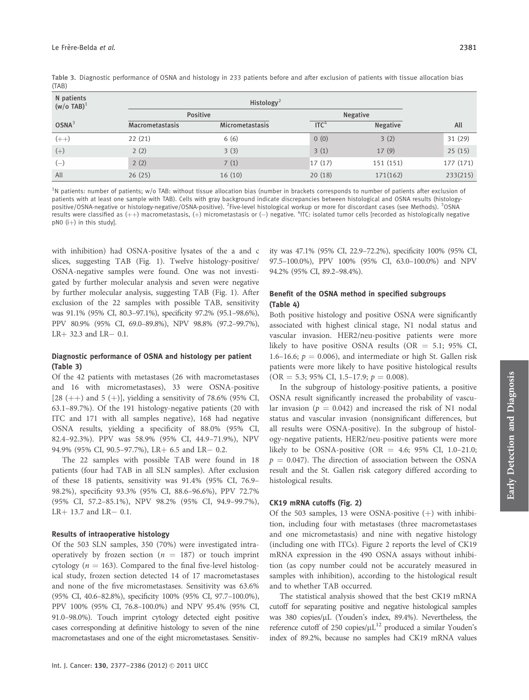|       | Table 3. Diagnostic performance of OSNA and histology in 233 patients before and after exclusion of patients with tissue allocation bias |  |  |  |  |  |
|-------|------------------------------------------------------------------------------------------------------------------------------------------|--|--|--|--|--|
| (TAB) |                                                                                                                                          |  |  |  |  |  |

| N patients<br>$(w/o$ TAB) <sup>1</sup> |                        | Histology <sup>2</sup> |                  |                 |           |  |  |  |  |  |  |
|----------------------------------------|------------------------|------------------------|------------------|-----------------|-----------|--|--|--|--|--|--|
|                                        |                        | <b>Positive</b>        |                  | <b>Negative</b> |           |  |  |  |  |  |  |
| $OSNA^3$                               | <b>Macrometastasis</b> | <b>Micrometastasis</b> | ITC <sup>4</sup> | <b>Negative</b> | All       |  |  |  |  |  |  |
| $(++)$                                 | 22(21)                 | 6(6)                   | 0(0)             | 3(2)            | 31 (29)   |  |  |  |  |  |  |
| $(+)$                                  | 2(2)                   | 3(3)                   | 3(1)             | 17(9)           | 25(15)    |  |  |  |  |  |  |
| $(-)$                                  | 2(2)                   | 7(1)                   | 17(17)           | 151 (151)       | 177 (171) |  |  |  |  |  |  |
| All                                    | 26(25)                 | 16(10)                 | 20(18)           | 171(162)        | 233(215)  |  |  |  |  |  |  |

<sup>1</sup>N patients: number of patients; w/o TAB: without tissue allocation bias (number in brackets corresponds to number of patients after exclusion of patients with at least one sample with TAB). Cells with gray background indicate discrepancies between histological and OSNA results (histologypositive/OSNA-negative or histology-negative/OSNA-positive). <sup>2</sup>Five-level histological workup or more for discordant cases (see Methods). <sup>3</sup>OSNA results were classified as  $(++)$  macrometastasis,  $(+)$  micrometastasis or  $(-)$  negative. <sup>4</sup>ITC: isolated tumor cells [recorded as histologically negative  $pNO$  (i+) in this study].

with inhibition) had OSNA-positive lysates of the a and c slices, suggesting TAB (Fig. 1). Twelve histology-positive/ OSNA-negative samples were found. One was not investigated by further molecular analysis and seven were negative by further molecular analysis, suggesting TAB (Fig. 1). After exclusion of the 22 samples with possible TAB, sensitivity was 91.1% (95% CI, 80.3–97.1%), specificity 97.2% (95.1–98.6%), PPV 80.9% (95% CI, 69.0–89.8%), NPV 98.8% (97.2–99.7%),  $LR+32.3$  and  $LR-0.1$ .

## Diagnostic performance of OSNA and histology per patient (Table 3)

Of the 42 patients with metastases (26 with macrometastases and 16 with micrometastases), 33 were OSNA-positive [28 (++) and 5 (+)], yielding a sensitivity of 78.6% (95% CI, 63.1–89.7%). Of the 191 histology-negative patients (20 with ITC and 171 with all samples negative), 168 had negative OSNA results, yielding a specificity of 88.0% (95% CI, 82.4–92.3%). PPV was 58.9% (95% CI, 44.9–71.9%), NPV 94.9% (95% CI, 90.5-97.7%), LR+ 6.5 and LR- 0.2.

The 22 samples with possible TAB were found in 18 patients (four had TAB in all SLN samples). After exclusion of these 18 patients, sensitivity was 91.4% (95% CI, 76.9– 98.2%), specificity 93.3% (95% CI, 88.6–96.6%), PPV 72.7% (95% CI, 57.2–85.1%), NPV 98.2% (95% CI, 94.9–99.7%),  $LR+13.7$  and  $LR-0.1$ .

#### Results of intraoperative histology

Of the 503 SLN samples, 350 (70%) were investigated intraoperatively by frozen section ( $n = 187$ ) or touch imprint cytology ( $n = 163$ ). Compared to the final five-level histological study, frozen section detected 14 of 17 macrometastases and none of the five micrometastases. Sensitivity was 63.6% (95% CI, 40.6–82.8%), specificity 100% (95% CI, 97.7–100.0%), PPV 100% (95% CI, 76.8–100.0%) and NPV 95.4% (95% CI, 91.0–98.0%). Touch imprint cytology detected eight positive cases corresponding at definitive histology to seven of the nine macrometastases and one of the eight micrometastases. Sensitivity was 47.1% (95% CI, 22.9–72.2%), specificity 100% (95% CI, 97.5–100.0%), PPV 100% (95% CI, 63.0–100.0%) and NPV 94.2% (95% CI, 89.2–98.4%).

## Benefit of the OSNA method in specified subgroups (Table 4)

Both positive histology and positive OSNA were significantly associated with highest clinical stage, N1 nodal status and vascular invasion. HER2/neu-positive patients were more likely to have positive OSNA results (OR  $=$  5.1; 95% CI, 1.6–16.6;  $p = 0.006$ ), and intermediate or high St. Gallen risk patients were more likely to have positive histological results  $(OR = 5.3; 95\% CI, 1.5–17.9; p = 0.008).$ 

In the subgroup of histology-positive patients, a positive OSNA result significantly increased the probability of vascular invasion ( $p = 0.042$ ) and increased the risk of N1 nodal status and vascular invasion (nonsignificant differences, but all results were OSNA-positive). In the subgroup of histology-negative patients, HER2/neu-positive patients were more likely to be OSNA-positive (OR = 4.6; 95% CI, 1.0–21.0;  $p = 0.047$ ). The direction of association between the OSNA result and the St. Gallen risk category differed according to histological results.

#### CK19 mRNA cutoffs (Fig. 2)

Of the 503 samples, 13 were OSNA-positive  $(+)$  with inhibition, including four with metastases (three macrometastases and one micrometastasis) and nine with negative histology (including one with ITCs). Figure 2 reports the level of CK19 mRNA expression in the 490 OSNA assays without inhibition (as copy number could not be accurately measured in samples with inhibition), according to the histological result and to whether TAB occurred.

The statistical analysis showed that the best CK19 mRNA cutoff for separating positive and negative histological samples was 380 copies/µL (Youden's index, 89.4%). Nevertheless, the reference cutoff of 250 copies/ $\mu L^{12}$  produced a similar Youden's index of 89.2%, because no samples had CK19 mRNA values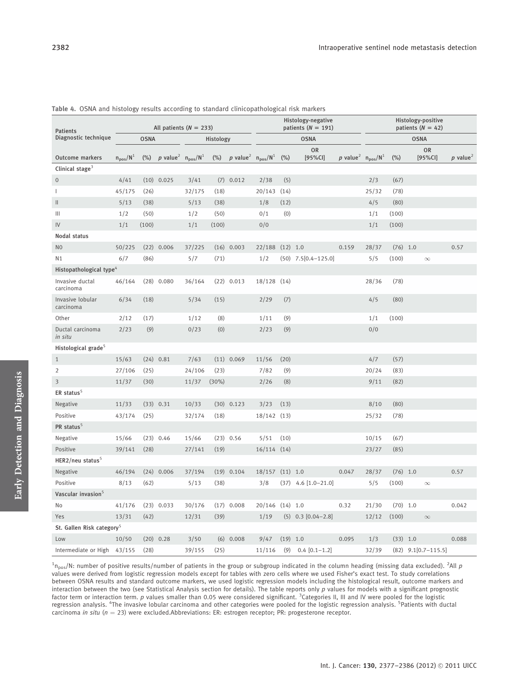| <b>Patients</b>                                                                        | All patients $(N = 233)$ |             |              |           |                                        |              | Histology-negative<br>patients ( $N = 191$ ) |                      |                                    |       | Histology-positive<br>patients ( $N = 42$ ) |            |                      |                          |       |
|----------------------------------------------------------------------------------------|--------------------------|-------------|--------------|-----------|----------------------------------------|--------------|----------------------------------------------|----------------------|------------------------------------|-------|---------------------------------------------|------------|----------------------|--------------------------|-------|
| Diagnostic technique                                                                   |                          | <b>OSNA</b> |              | Histology |                                        | <b>OSNA</b>  |                                              |                      | <b>OSNA</b>                        |       |                                             |            |                      |                          |       |
| p value <sup>2</sup> $n_{pos}/N^1$<br>Outcome markers<br>$(\%)$<br>$n_{pos}/N^{\perp}$ |                          |             |              |           | (%) p value <sup>2</sup> $n_{pos}/N^1$ |              | (%)                                          | <b>OR</b><br>[95%CI] | p value <sup>2</sup> $n_{pos}/N^1$ |       | $(\%)$                                      |            | <b>OR</b><br>[95%CI] | $p$ value <sup>2</sup>   |       |
| Clinical stage <sup>3</sup>                                                            |                          |             |              |           |                                        |              |                                              |                      |                                    |       |                                             |            |                      |                          |       |
| $\mathbf 0$                                                                            | 4/41                     |             | $(10)$ 0.025 | 3/41      |                                        | $(7)$ 0.012  | 2/38                                         | (5)                  |                                    |       | 2/3                                         | (67)       |                      |                          |       |
| $\mathbf{I}$                                                                           | 45/175                   | (26)        |              | 32/175    | (18)                                   |              | 20/143 (14)                                  |                      |                                    |       | 25/32                                       | (78)       |                      |                          |       |
| $\mathbf{H}$                                                                           | 5/13                     | (38)        |              | 5/13      | (38)                                   |              | 1/8                                          | (12)                 |                                    |       | 4/5                                         | (80)       |                      |                          |       |
| Ш                                                                                      | 1/2                      | (50)        |              | 1/2       | (50)                                   |              | 0/1                                          | (0)                  |                                    |       | 1/1                                         | (100)      |                      |                          |       |
| IV                                                                                     | 1/1                      | (100)       |              | 1/1       | (100)                                  |              | 0/0                                          |                      |                                    |       | 1/1                                         | (100)      |                      |                          |       |
| Nodal status                                                                           |                          |             |              |           |                                        |              |                                              |                      |                                    |       |                                             |            |                      |                          |       |
| N <sub>0</sub>                                                                         | 50/225                   | (22)        | 0.006        | 37/225    |                                        | $(16)$ 0.003 | 22/188 (12) 1.0                              |                      |                                    | 0.159 | 28/37                                       | $(76)$ 1.0 |                      |                          | 0.57  |
| N1                                                                                     | 6/7                      | (86)        |              | 5/7       | (71)                                   |              | 1/2                                          |                      | $(50)$ 7.5 $[0.4-125.0]$           |       | 5/5                                         | (100)      |                      | $\infty$                 |       |
| Histopathological type <sup>4</sup>                                                    |                          |             |              |           |                                        |              |                                              |                      |                                    |       |                                             |            |                      |                          |       |
| Invasive ductal<br>carcinoma                                                           | 46/164                   |             | $(28)$ 0.080 | 36/164    |                                        | $(22)$ 0.013 | 18/128 (14)                                  |                      |                                    |       | 28/36                                       | (78)       |                      |                          |       |
| Invasive lobular<br>carcinoma                                                          | 6/34                     | (18)        |              | 5/34      | (15)                                   |              | 2/29                                         | (7)                  |                                    |       | 4/5                                         | (80)       |                      |                          |       |
| Other                                                                                  | 2/12                     | (17)        |              | 1/12      | (8)                                    |              | 1/11                                         | (9)                  |                                    |       | 1/1                                         | (100)      |                      |                          |       |
| Ductal carcinoma<br>in situ                                                            | 2/23                     | (9)         |              | 0/23      | (0)                                    |              | 2/23                                         | (9)                  |                                    |       | 0/0                                         |            |                      |                          |       |
| Histological grade <sup>5</sup>                                                        |                          |             |              |           |                                        |              |                                              |                      |                                    |       |                                             |            |                      |                          |       |
| $\mathbf{1}$                                                                           | 15/63                    |             | $(24)$ 0.81  | 7/63      |                                        | $(11)$ 0.069 | 11/56                                        | (20)                 |                                    |       | 4/7                                         | (57)       |                      |                          |       |
| $\overline{2}$                                                                         | 27/106                   | (25)        |              | 24/106    | (23)                                   |              | 7/82                                         | (9)                  |                                    |       | 20/24                                       | (83)       |                      |                          |       |
| $\overline{3}$                                                                         | 11/37                    | (30)        |              | 11/37     | (30%)                                  |              | 2/26                                         | (8)                  |                                    |       | 9/11                                        | (82)       |                      |                          |       |
| ER status <sup>5</sup>                                                                 |                          |             |              |           |                                        |              |                                              |                      |                                    |       |                                             |            |                      |                          |       |
| Negative                                                                               | 11/33                    |             | $(33)$ 0.31  | 10/33     |                                        | $(30)$ 0.123 | 3/23                                         | (13)                 |                                    |       | 8/10                                        | (80)       |                      |                          |       |
| Positive                                                                               | 43/174                   | (25)        |              | 32/174    | (18)                                   |              | 18/142 (13)                                  |                      |                                    |       | 25/32                                       | (78)       |                      |                          |       |
| PR status <sup>5</sup>                                                                 |                          |             |              |           |                                        |              |                                              |                      |                                    |       |                                             |            |                      |                          |       |
| Negative                                                                               | 15/66                    |             | $(23)$ 0.46  | 15/66     |                                        | $(23)$ 0.56  | 5/51                                         | (10)                 |                                    |       | 10/15                                       | (67)       |                      |                          |       |
| Positive                                                                               | 39/141                   | (28)        |              | 27/141    | (19)                                   |              | $16/114$ $(14)$                              |                      |                                    |       | 23/27                                       | (85)       |                      |                          |       |
| $HER2/neu$ status <sup>5</sup>                                                         |                          |             |              |           |                                        |              |                                              |                      |                                    |       |                                             |            |                      |                          |       |
| Negative                                                                               | 46/194                   |             | $(24)$ 0.006 | 37/194    |                                        | $(19)$ 0.104 | 18/157 (11) 1.0                              |                      |                                    | 0.047 | 28/37                                       | $(76)$ 1.0 |                      |                          | 0.57  |
| Positive                                                                               | 8/13                     | (62)        |              | 5/13      | (38)                                   |              | 3/8                                          |                      | $(37)$ 4.6 $[1.0-21.0]$            |       | 5/5                                         | (100)      |                      | $\infty$                 |       |
| Vascular invasion <sup>5</sup>                                                         |                          |             |              |           |                                        |              |                                              |                      |                                    |       |                                             |            |                      |                          |       |
| No                                                                                     | 41/176                   |             | $(23)$ 0.033 | 30/176    |                                        | $(17)$ 0.008 | 20/146 (14) 1.0                              |                      |                                    | 0.32  | 21/30                                       | $(70)$ 1.0 |                      |                          | 0.042 |
| Yes                                                                                    | 13/31                    | (42)        |              | 12/31     | (39)                                   |              | 1/19                                         |                      | $(5)$ 0.3 $[0.04-2.8]$             |       | 12/12                                       | (100)      |                      | $\infty$                 |       |
| St. Gallen Risk category <sup>5</sup>                                                  |                          |             |              |           |                                        |              |                                              |                      |                                    |       |                                             |            |                      |                          |       |
| Low                                                                                    | 10/50                    |             | $(20)$ 0.28  | 3/50      |                                        | $(6)$ 0.008  | 9/47                                         | $(19)$ 1.0           |                                    | 0.095 | 1/3                                         | $(33)$ 1.0 |                      |                          | 0.088 |
| Intermediate or High 43/155                                                            |                          | (28)        |              | 39/155    | (25)                                   |              | 11/116                                       | (9)                  | $0.4$ [0.1-1.2]                    |       | 32/39                                       |            |                      | $(82)$ 9.1 $[0.7-115.5]$ |       |

Table 4. OSNA and histology results according to standard clinicopathological risk markers

 $^1$ n<sub>pos</sub>/N: number of positive results/number of patients in the group or subgroup indicated in the column heading (missing data excluded). <sup>2</sup>All p values were derived from logistic regression models except for tables with zero cells where we used Fisher's exact test. To study correlations between OSNA results and standard outcome markers, we used logistic regression models including the histological result, outcome markers and interaction between the two (see Statistical Analysis section for details). The table reports only p values for models with a significant prognostic factor term or interaction term. p values smaller than 0.05 were considered significant. <sup>3</sup>Categories II, III and IV were pooled for the logistic regression analysis. <sup>4</sup>The invasive lobular carcinoma and other categories were pooled for the logistic regression analysis. <sup>5</sup>Patients with ductal carcinoma in situ ( $n = 23$ ) were excluded.Abbreviations: ER: estrogen receptor; PR: progesterone receptor.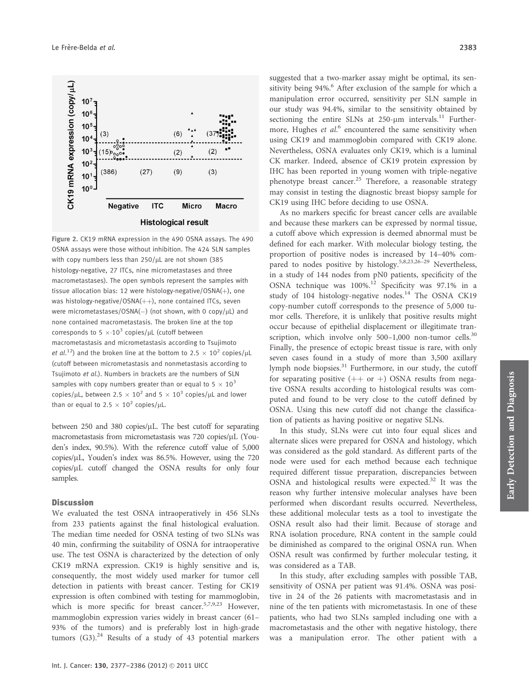

Figure 2. CK19 mRNA expression in the 490 OSNA assays. The 490 OSNA assays were those without inhibition. The 424 SLN samples with copy numbers less than  $250/\mu$ L are not shown (385 histology-negative, 27 ITCs, nine micrometastases and three macrometastases). The open symbols represent the samples with tissue allocation bias: 12 were histology-negative/OSNA(+), one was histology-negative/OSNA $(++)$ , none contained ITCs, seven were micrometastases/OSNA( $-$ ) (not shown, with 0 copy/ $\mu$ L) and none contained macrometastasis. The broken line at the top corresponds to 5  $\times$  10<sup>3</sup> copies/ $\mu$ L (cutoff between macrometastasis and micrometastasis according to Tsujimoto *et al.*<sup>12</sup>) and the broken line at the bottom to  $2.5 \times 10^2$  copies/ $\mu$ L (cutoff between micrometastasis and nonmetastasis according to Tsujimoto et al.). Numbers in brackets are the numbers of SLN samples with copy numbers greater than or equal to  $5 \times 10^3$ copies/µL, between 2.5  $\times$  10<sup>2</sup> and 5  $\times$  10<sup>3</sup> copies/µL and lower than or equal to 2.5  $\times$  10<sup>2</sup> copies/ $\mu$ L.

between  $250$  and  $380$  copies/ $\mu$ L. The best cutoff for separating macrometastasis from micrometastasis was 720 copies/µL (Youden's index, 90.5%). With the reference cutoff value of 5,000 copies/lL, Youden's index was 86.5%. However, using the 720 copies/µL cutoff changed the OSNA results for only four samples.

#### **Discussion**

We evaluated the test OSNA intraoperatively in 456 SLNs from 233 patients against the final histological evaluation. The median time needed for OSNA testing of two SLNs was 40 min, confirming the suitability of OSNA for intraoperative use. The test OSNA is characterized by the detection of only CK19 mRNA expression. CK19 is highly sensitive and is, consequently, the most widely used marker for tumor cell detection in patients with breast cancer. Testing for CK19 expression is often combined with testing for mammoglobin, which is more specific for breast cancer.<sup>5,7,9,23</sup> However, mammoglobin expression varies widely in breast cancer (61– 93% of the tumors) and is preferably lost in high-grade tumors  $(G3)$ .<sup>24</sup> Results of a study of 43 potential markers

suggested that a two-marker assay might be optimal, its sensitivity being  $94\%$ .<sup>6</sup> After exclusion of the sample for which a manipulation error occurred, sensitivity per SLN sample in our study was 94.4%, similar to the sensitivity obtained by sectioning the entire SLNs at  $250$ - $\mu$ m intervals.<sup>11</sup> Furthermore, Hughes et al.<sup>6</sup> encountered the same sensitivity when using CK19 and mammoglobin compared with CK19 alone. Nevertheless, OSNA evaluates only CK19, which is a luminal CK marker. Indeed, absence of CK19 protein expression by IHC has been reported in young women with triple-negative phenotype breast cancer.<sup>25</sup> Therefore, a reasonable strategy may consist in testing the diagnostic breast biopsy sample for CK19 using IHC before deciding to use OSNA.

As no markers specific for breast cancer cells are available and because these markers can be expressed by normal tissue, a cutoff above which expression is deemed abnormal must be defined for each marker. With molecular biology testing, the proportion of positive nodes is increased by 14–40% compared to nodes positive by histology.<sup>5,8,23,26-29</sup> Nevertheless, in a study of 144 nodes from pN0 patients, specificity of the OSNA technique was 100%.<sup>12</sup> Specificity was 97.1% in a study of 104 histology-negative nodes.<sup>14</sup> The OSNA CK19 copy-number cutoff corresponds to the presence of 5,000 tumor cells. Therefore, it is unlikely that positive results might occur because of epithelial displacement or illegitimate transcription, which involve only  $500-1,000$  non-tumor cells.<sup>30</sup> Finally, the presence of ectopic breast tissue is rare, with only seven cases found in a study of more than 3,500 axillary lymph node biopsies.<sup>31</sup> Furthermore, in our study, the cutoff for separating positive  $(++)$  or  $+)$  OSNA results from negative OSNA results according to histological results was computed and found to be very close to the cutoff defined by OSNA. Using this new cutoff did not change the classification of patients as having positive or negative SLNs.

In this study, SLNs were cut into four equal slices and alternate slices were prepared for OSNA and histology, which was considered as the gold standard. As different parts of the node were used for each method because each technique required different tissue preparation, discrepancies between OSNA and histological results were expected.<sup>32</sup> It was the reason why further intensive molecular analyses have been performed when discordant results occurred. Nevertheless, these additional molecular tests as a tool to investigate the OSNA result also had their limit. Because of storage and RNA isolation procedure, RNA content in the sample could be diminished as compared to the original OSNA run. When OSNA result was confirmed by further molecular testing, it was considered as a TAB.

In this study, after excluding samples with possible TAB, sensitivity of OSNA per patient was 91.4%. OSNA was positive in 24 of the 26 patients with macrometastasis and in nine of the ten patients with micrometastasis. In one of these patients, who had two SLNs sampled including one with a macrometastasis and the other with negative histology, there was a manipulation error. The other patient with a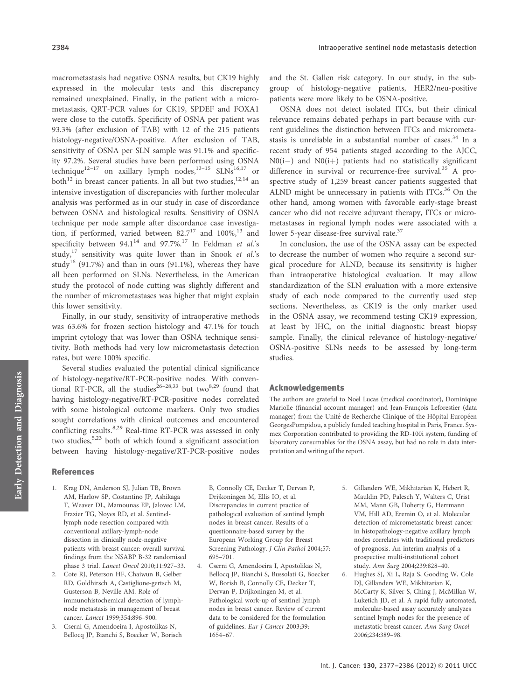macrometastasis had negative OSNA results, but CK19 highly expressed in the molecular tests and this discrepancy remained unexplained. Finally, in the patient with a micrometastasis, QRT-PCR values for CK19, SPDEF and FOXA1 were close to the cutoffs. Specificity of OSNA per patient was 93.3% (after exclusion of TAB) with 12 of the 215 patients histology-negative/OSNA-positive. After exclusion of TAB, sensitivity of OSNA per SLN sample was 91.1% and specificity 97.2%. Several studies have been performed using OSNA technique<sup>12-17</sup> on axillary lymph nodes,<sup>13-15</sup> SLNs<sup>16,17</sup> or both<sup>12</sup> in breast cancer patients. In all but two studies,  $12,14$  and intensive investigation of discrepancies with further molecular analysis was performed as in our study in case of discordance between OSNA and histological results. Sensitivity of OSNA technique per node sample after discordance case investigation, if performed, varied between  $82.7^{17}$  and  $100\%$ ,<sup>13</sup> and specificity between  $94.1^{14}$  and  $97.7\%$ .<sup>17</sup> In Feldman et al.'s study, $17$  sensitivity was quite lower than in Snook *et al.*'s study<sup>16</sup> (91.7%) and than in ours (91.1%), whereas they have all been performed on SLNs. Nevertheless, in the American study the protocol of node cutting was slightly different and the number of micrometastases was higher that might explain this lower sensitivity.

Finally, in our study, sensitivity of intraoperative methods was 63.6% for frozen section histology and 47.1% for touch imprint cytology that was lower than OSNA technique sensitivity. Both methods had very low micrometastasis detection rates, but were 100% specific.

Several studies evaluated the potential clinical significance of histology-negative/RT-PCR-positive nodes. With conventional RT-PCR, all the studies<sup>26-28,33</sup> but two<sup>8,29</sup> found that having histology-negative/RT-PCR-positive nodes correlated with some histological outcome markers. Only two studies sought correlations with clinical outcomes and encountered conflicting results.<sup>8,29</sup> Real-time RT-PCR was assessed in only two studies,  $5,23$  both of which found a significant association between having histology-negative/RT-PCR-positive nodes and the St. Gallen risk category. In our study, in the subgroup of histology-negative patients, HER2/neu-positive patients were more likely to be OSNA-positive.

OSNA does not detect isolated ITCs, but their clinical relevance remains debated perhaps in part because with current guidelines the distinction between ITCs and micrometastasis is unreliable in a substantial number of cases.<sup>34</sup> In a recent study of 954 patients staged according to the AJCC,  $N0(i-)$  and  $N0(i+)$  patients had no statistically significant difference in survival or recurrence-free survival.<sup>35</sup> A prospective study of 1,259 breast cancer patients suggested that ALND might be unnecessary in patients with ITCs. $36$  On the other hand, among women with favorable early-stage breast cancer who did not receive adjuvant therapy, ITCs or micrometastases in regional lymph nodes were associated with a lower 5-year disease-free survival rate.<sup>37</sup>

In conclusion, the use of the OSNA assay can be expected to decrease the number of women who require a second surgical procedure for ALND, because its sensitivity is higher than intraoperative histological evaluation. It may allow standardization of the SLN evaluation with a more extensive study of each node compared to the currently used step sections. Nevertheless, as CK19 is the only marker used in the OSNA assay, we recommend testing CK19 expression, at least by IHC, on the initial diagnostic breast biopsy sample. Finally, the clinical relevance of histology-negative/ OSNA-positive SLNs needs to be assessed by long-term studies.

#### Acknowledgements

The authors are grateful to Noël Lucas (medical coordinator), Dominique Mariolle (financial account manager) and Jean-François Leforestier (data manager) from the Unité de Recherche Clinique of the Hôpital Européen GeorgesPompidou, a publicly funded teaching hospital in Paris, France. Sysmex Corporation contributed to providing the RD-100i system, funding of laboratory consumables for the OSNA assay, but had no role in data interpretation and writing of the report.

## References

- 1. Krag DN, Anderson SJ, Julian TB, Brown AM, Harlow SP, Costantino JP, Ashikaga T, Weaver DL, Mamounas EP, Jalovec LM, Frazier TG, Noyes RD, et al. Sentinellymph node resection compared with conventional axillary-lymph-node dissection in clinically node-negative patients with breast cancer: overall survival findings from the NSABP B-32 randomised phase 3 trial. Lancet Oncol 2010;11:927–33.
- 2. Cote RJ, Peterson HF, Chaiwun B, Gelber RD, Goldhirsch A, Castiglione-gertsch M, Gusterson B, Neville AM. Role of immunohistochemical detection of lymphnode metastasis in management of breast cancer. Lancet 1999;354:896–900.
- 3. Cserni G, Amendoeira I, Apostolikas N, Bellocq JP, Bianchi S, Boecker W, Borisch

B, Connolly CE, Decker T, Dervan P, Drijkoningen M, Ellis IO, et al. Discrepancies in current practice of pathological evaluation of sentinel lymph nodes in breast cancer. Results of a questionnaire-based survey by the European Working Group for Breast Screening Pathology. J Clin Pathol 2004;57: 695–701.

- 4. Cserni G, Amendoeira I, Apostolikas N, Bellocq JP, Bianchi S, Bussolati G, Boecker W, Borish B, Connolly CE, Decker T, Dervan P, Drijkoningen M, et al. Pathological work-up of sentinel lymph nodes in breast cancer. Review of current data to be considered for the formulation of guidelines. Eur J Cancer 2003;39: 1654–67.
- 5. Gillanders WE, Mikhitarian K, Hebert R, Mauldin PD, Palesch Y, Walters C, Urist MM, Mann GB, Doherty G, Herrmann VM, Hill AD, Eremin O, et al. Molecular detection of micrometastatic breast cancer in histopathology-negative axillary lymph nodes correlates with traditional predictors of prognosis. An interim analysis of a prospective multi-institutional cohort study. Ann Surg 2004;239:828–40.
- 6. Hughes SJ, Xi L, Raja S, Gooding W, Cole DJ, Gillanders WE, Mikhitarian K, McCarty K, Silver S, Ching J, McMillan W, Luketich JD, et al. A rapid fully automated, molecular-based assay accurately analyzes sentinel lymph nodes for the presence of metastatic breast cancer. Ann Surg Oncol 2006;234:389–98.

Early Detection and Diagnosis

Early Detection and Diagnosis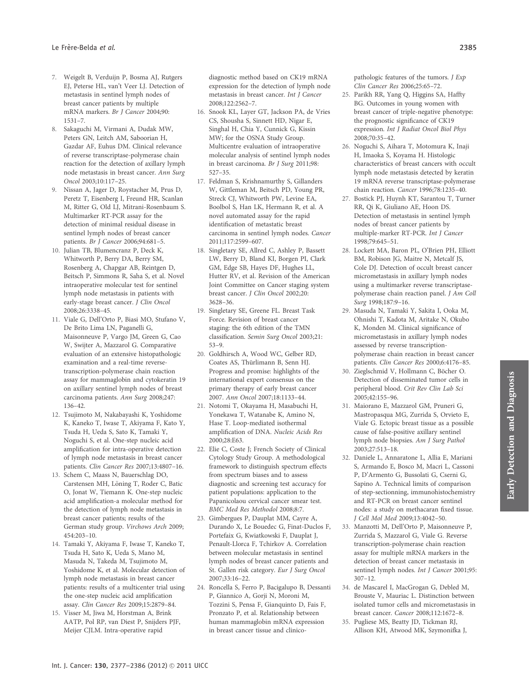- 7. Weigelt B, Verduijn P, Bosma AJ, Rutgers EJ, Peterse HL, van't Veer LJ. Detection of metastasis in sentinel lymph nodes of breast cancer patients by multiple mRNA markers. Br J Cancer 2004;90: 1531–7.
- 8. Sakaguchi M, Virmani A, Dudak MW, Peters GN, Leitch AM, Saboorian H, Gazdar AF, Euhus DM. Clinical relevance of reverse transcriptase-polymerase chain reaction for the detection of axillary lymph node metastasis in breast cancer. Ann Surg Oncol 2003;10:117–25.
- 9. Nissan A, Jager D, Roystacher M, Prus D, Peretz T, Eisenberg I, Freund HR, Scanlan M, Ritter G, Old LJ, Mitrani-Rosenbaum S. Multimarker RT-PCR assay for the detection of minimal residual disease in sentinel lymph nodes of breast cancer patients. Br J Cancer 2006;94:681–5.
- 10. Julian TB, Blumencranz P, Deck K, Whitworth P, Berry DA, Berry SM, Rosenberg A, Chapgar AB, Reintgen D, Beitsch P, Simmons R, Saha S, et al. Novel intraoperative molecular test for sentinel lymph node metastasis in patients with early-stage breast cancer. J Clin Oncol 2008;26:3338–45.
- 11. Viale G, Dell'Orto P, Biasi MO, Stufano V, De Brito Lima LN, Paganelli G, Maisonneuve P, Vargo JM, Green G, Cao W, Swijter A, Mazzarol G. Comparative evaluation of an extensive histopathologic examination and a real-time reversetranscription-polymerase chain reaction assay for mammaglobin and cytokeratin 19 on axillary sentinel lymph nodes of breast carcinoma patients. Ann Surg 2008;247: 136–42.
- 12. Tsujimoto M, Nakabayashi K, Yoshidome K, Kaneko T, Iwase T, Akiyama F, Kato Y, Tsuda H, Ueda S, Sato K, Tamaki Y, Noguchi S, et al. One-step nucleic acid amplification for intra-operative detection of lymph node metastasis in breast cancer patients. Clin Cancer Res 2007;13:4807–16.
- 13. Schem C, Maass N, Bauerschlag DO, Carstensen MH, Löning T, Roder C, Batic O, Jonat W, Tiemann K. One-step nucleic acid amplification-a molecular method for the detection of lymph node metastasis in breast cancer patients; results of the German study group. Virchows Arch 2009; 454:203–10.
- 14. Tamaki Y, Akiyama F, Iwase T, Kaneko T, Tsuda H, Sato K, Ueda S, Mano M, Masuda N, Takeda M, Tsujimoto M, Yoshidome K, et al. Molecular detection of lymph node metastasis in breast cancer patients: results of a multicenter trial using the one-step nucleic acid amplification assay. Clin Cancer Res 2009;15:2879–84.
- 15. Visser M, Jiwa M, Horstman A, Brink AATP, Pol RP, van Diest P, Snijders PJF, Meijer CJLM. Intra-operative rapid

diagnostic method based on CK19 mRNA expression for the detection of lymph node metastasis in breast cancer. Int J Cancer 2008;122:2562–7.

- 16. Snook KL, Layer GT, Jackson PA, de Vries CS, Shousha S, Sinnett HD, Nigar E, Singhal H, Chia Y, Cunnick G, Kissin MW; for the OSNA Study Group. Multicentre evaluation of intraoperative molecular analysis of sentinel lymph nodes in breast carcinoma. Br J Surg 2011;98: 527–35.
- 17. Feldman S, Krishnamurthy S, Gillanders W, Gittleman M, Beitsch PD, Young PR, Streck CJ, Whitworth PW, Levine EA, Boolbol S, Han LK, Hermann R, et al. A novel automated assay for the rapid identification of metastatic breast carcinoma in sentinel lymph nodes. Cancer 2011;117:2599–607.
- 18. Singletary SE, Allred C, Ashley P, Bassett LW, Berry D, Bland KI, Borgen PI, Clark GM, Edge SB, Hayes DF, Hughes LL, Hutter RV, et al. Revision of the American Joint Committee on Cancer staging system breast cancer. J Clin Oncol 2002;20: 3628–36.
- 19. Singletary SE, Greene FL. Breast Task Force. Revision of breast cancer staging: the 6th edition of the TMN classification. Semin Surg Oncol 2003;21: 53–9.
- 20. Goldhirsch A, Wood WC, Gelber RD, Coates AS, Thürlimann B, Senn HJ. Progress and promise: highlights of the international expert consensus on the primary therapy of early breast cancer 2007. Ann Oncol 2007;18:1133–44.
- 21. Notomi T, Okayama H, Masabuchi H, Yonekawa T, Watanabe K, Amino N, Hase T. Loop-mediated isothermal amplification of DNA. Nucleic Acids Res 2000;28:E63.
- 22. Elie C, Coste J; French Society of Clinical Cytology Study Group. A methodological framework to distinguish spectrum effects from spectrum biases and to assess diagnostic and screening test accuracy for patient populations: application to the Papanicolaou cervical cancer smear test. BMC Med Res Methodol 2008;8:7.
- 23. Gimbergues P, Dauplat MM, Cayre A, Durando X, Le Bouedec G, Finat-Duclos F, Portefaix G, Kwiatkowski F, Dauplat J, Penault-Llorca F, Tchirkov A. Correlation between molecular metastasis in sentinel lymph nodes of breast cancer patients and St. Gallen risk category. Eur J Surg Oncol 2007;33:16–22.
- 24. Roncella S, Ferro P, Bacigalupo B, Dessanti P, Giannico A, Gorji N, Moroni M, Tozzini S, Pensa F, Gianquinto D, Fais F, Pronzato P, et al. Relationship between human mammaglobin mRNA expression in breast cancer tissue and clinico-

pathologic features of the tumors. J Exp Clin Cancer Res 2006;25:65–72.

- 25. Parikh RR, Yang Q, Higgins SA, Haffty BG. Outcomes in young women with breast cancer of triple-negative phenotype: the prognostic significance of CK19 expression. Int J Radiat Oncol Biol Phys 2008;70:35–42.
- 26. Noguchi S, Aihara T, Motomura K, Inaji H, Imaoka S, Koyama H. Histologic characteristics of breast cancers with occult lymph node metastasis detected by keratin 19 mRNA reverse transcriptase-polymerase chain reaction. Cancer 1996;78:1235–40.
- 27. Bostick PJ, Huynh KT, Sarantou T, Turner RR, Qi K, Giuliano AE, Hoon DS. Detection of metastasis in sentinel lymph nodes of breast cancer patients by multiple-marker RT-PCR. Int J Cancer 1998;79:645–51.
- 28. Lockett MA, Baron PL, O'Brien PH, Elliott BM, Robison JG, Maitre N, Metcalf JS, Cole DJ. Detection of occult breast cancer micrometastasis in axillary lymph nodes using a multimarker reverse transcriptasepolymerase chain reaction panel. J Am Coll Surg 1998;187:9–16.
- 29. Masuda N, Tamaki Y, Sakita I, Ooka M, Ohnishi T, Kadota M, Aritake N, Okubo K, Monden M. Clinical significance of micrometastasis in axillary lymph nodes assessed by reverse transcriptionpolymerase chain reaction in breast cancer patients. Clin Cancer Res 2000;6:4176–85.
- 30. Zieglschmid V, Hollmann C, Böcher O. Detection of disseminated tumor cells in peripheral blood. Crit Rev Clin Lab Sci 2005;42:155–96.
- 31. Maiorano E, Mazzarol GM, Pruneri G, Mastropasqua MG, Zurrida S, Orvieto E, Viale G. Ectopic breast tissue as a possible cause of false-positive axillary sentinel lymph node biopsies. Am J Surg Pathol 2003;27:513–18.
- 32. Daniele L, Annaratone L, Allia E, Mariani S, Armando E, Bosco M, Macri L, Cassoni P, D'Armento G, Bussolati G, Cserni G, Sapino A. Technical limits of comparison of step-sectionning, immunohistochemistry and RT-PCR on breast cancer sentinel nodes: a study on methacaran fixed tissue. J Cell Mol Med 2009;13:4042–50.
- 33. Manzotti M, Dell'Orto P, Maisonneuve P, Zurrida S, Mazzarol G, Viale G. Reverse transcription-polymerase chain reaction assay for multiple mRNA markers in the detection of breast cancer metastasis in sentinel lymph nodes. Int J Cancer 2001;95: 307–12.
- 34. de Mascarel I, MacGrogan G, Debled M, Brouste V, Mauriac L. Distinction between isolated tumor cells and micrometastasis in breast cancer. Cancer 2008;112:1672–8.
- 35. Pugliese MS, Beatty JD, Tickman RJ, Allison KH, Atwood MK, Szymonifka J,